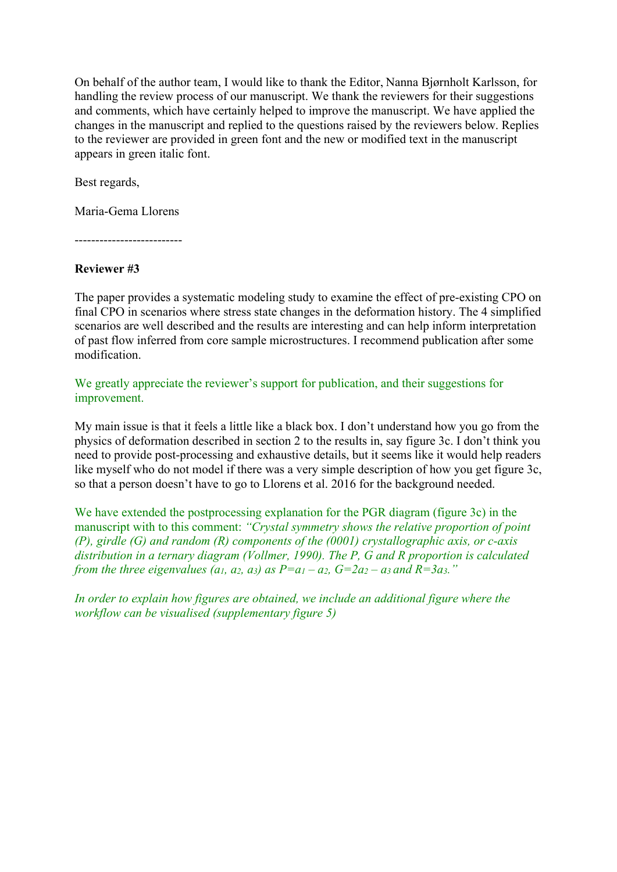On behalf of the author team, I would like to thank the Editor, Nanna Bjørnholt Karlsson, for handling the review process of our manuscript. We thank the reviewers for their suggestions and comments, which have certainly helped to improve the manuscript. We have applied the changes in the manuscript and replied to the questions raised by the reviewers below. Replies to the reviewer are provided in green font and the new or modified text in the manuscript appears in green italic font.

Best regards,

Maria-Gema Llorens

--------------------------

# **Reviewer #3**

The paper provides a systematic modeling study to examine the effect of pre-existing CPO on final CPO in scenarios where stress state changes in the deformation history. The 4 simplified scenarios are well described and the results are interesting and can help inform interpretation of past flow inferred from core sample microstructures. I recommend publication after some modification.

We greatly appreciate the reviewer's support for publication, and their suggestions for improvement.

My main issue is that it feels a little like a black box. I don't understand how you go from the physics of deformation described in section 2 to the results in, say figure 3c. I don't think you need to provide post-processing and exhaustive details, but it seems like it would help readers like myself who do not model if there was a very simple description of how you get figure 3c, so that a person doesn't have to go to Llorens et al. 2016 for the background needed.

We have extended the postprocessing explanation for the PGR diagram (figure 3c) in the manuscript with to this comment: *"Crystal symmetry shows the relative proportion of point (P), girdle (G) and random (R) components of the (0001) crystallographic axis, or c-axis distribution in a ternary diagram (Vollmer, 1990). The P, G and R proportion is calculated from the three eigenvalues (a1, a2, a3) as*  $P=a_1-a_2$ *,*  $G=2a_2-a_3$  *and*  $R=3a_3$ *.*"

*In order to explain how figures are obtained, we include an additional figure where the workflow can be visualised (supplementary figure 5)*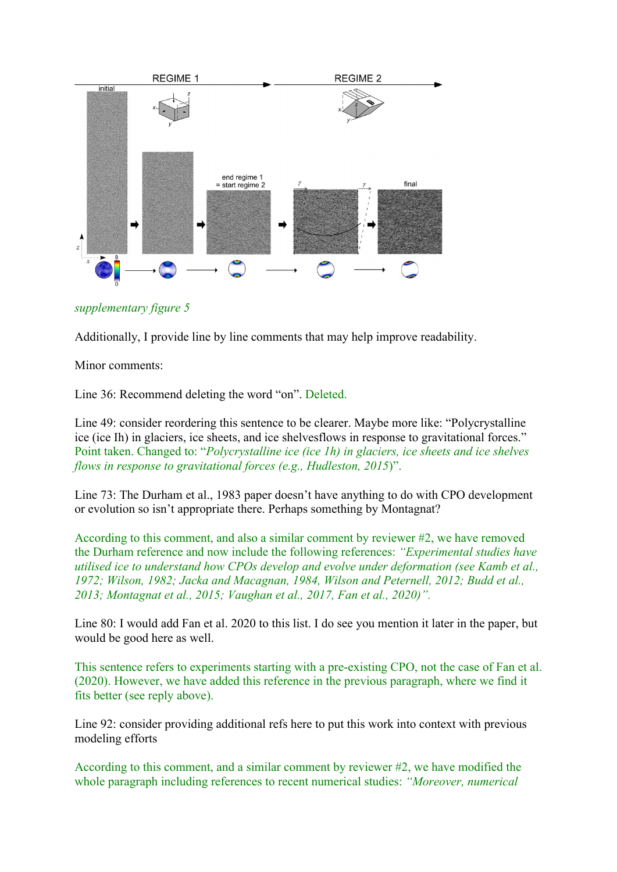

*supplementary figure 5*

Additionally, I provide line by line comments that may help improve readability.

Minor comments:

Line 36: Recommend deleting the word "on". Deleted.

Line 49: consider reordering this sentence to be clearer. Maybe more like: "Polycrystalline ice (ice Ih) in glaciers, ice sheets, and ice shelvesflows in response to gravitational forces." Point taken. Changed to: "*Polycrystalline ice (ice 1h) in glaciers, ice sheets and ice shelves flows in response to gravitational forces (e.g., Hudleston, 2015*)".

Line 73: The Durham et al., 1983 paper doesn't have anything to do with CPO development or evolution so isn't appropriate there. Perhaps something by Montagnat?

According to this comment, and also a similar comment by reviewer #2, we have removed the Durham reference and now include the following references: *"Experimental studies have utilised ice to understand how CPOs develop and evolve under deformation (see Kamb et al., 1972; Wilson, 1982; Jacka and Macagnan, 1984, Wilson and Peternell, 2012; Budd et al., 2013; Montagnat et al., 2015; Vaughan et al., 2017, Fan et al., 2020)".*

Line 80: I would add Fan et al. 2020 to this list. I do see you mention it later in the paper, but would be good here as well.

This sentence refers to experiments starting with a pre-existing CPO, not the case of Fan et al. (2020). However, we have added this reference in the previous paragraph, where we find it fits better (see reply above).

Line 92: consider providing additional refs here to put this work into context with previous modeling efforts

According to this comment, and a similar comment by reviewer #2, we have modified the whole paragraph including references to recent numerical studies: *"Moreover, numerical*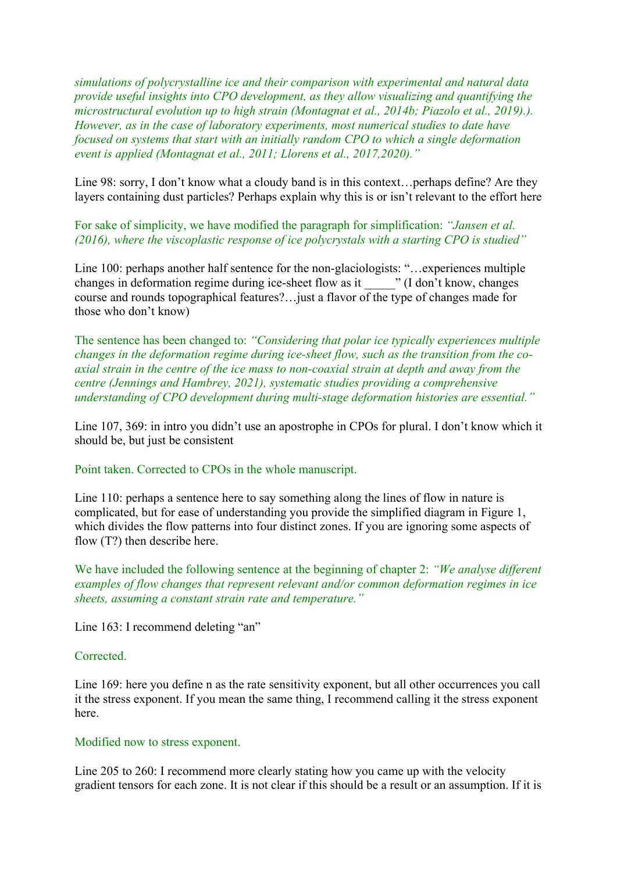*simulations of polycrystalline ice and their comparison with experimental and natural data provide useful insights into CPO development, as they allow visualizing and quantifying the microstructural evolution up to high strain (Montagnat et al., 2014b; Piazolo et al., 2019).). However, as in the case of laboratory experiments, most numerical studies to date have focused on systems that start with an initially random CPO to which a single deformation event is applied (Montagnat et al., 2011; Llorens et al., 2017,2020)."*

Line 98: sorry, I don't know what a cloudy band is in this context…perhaps define? Are they layers containing dust particles? Perhaps explain why this is or isn't relevant to the effort here

For sake of simplicity, we have modified the paragraph for simplification: *"Jansen et al. (2016), where the viscoplastic response of ice polycrystals with a starting CPO is studied"*

Line 100: perhaps another half sentence for the non-glaciologists: "…experiences multiple changes in deformation regime during ice-sheet flow as it  $\cdots$  (I don't know, changes course and rounds topographical features?…just a flavor of the type of changes made for those who don't know)

The sentence has been changed to: *"Considering that polar ice typically experiences multiple changes in the deformation regime during ice-sheet flow, such as the transition from the coaxial strain in the centre of the ice mass to non-coaxial strain at depth and away from the centre (Jennings and Hambrey, 2021), systematic studies providing a comprehensive understanding of CPO development during multi-stage deformation histories are essential."*

Line 107, 369: in intro you didn't use an apostrophe in CPOs for plural. I don't know which it should be, but just be consistent

Point taken. Corrected to CPOs in the whole manuscript.

Line 110: perhaps a sentence here to say something along the lines of flow in nature is complicated, but for ease of understanding you provide the simplified diagram in Figure 1, which divides the flow patterns into four distinct zones. If you are ignoring some aspects of flow (T?) then describe here.

We have included the following sentence at the beginning of chapter 2: *"We analyse different examples of flow changes that represent relevant and/or common deformation regimes in ice sheets, assuming a constant strain rate and temperature."*

Line 163: I recommend deleting "an"

#### Corrected.

Line 169: here you define n as the rate sensitivity exponent, but all other occurrences you call it the stress exponent. If you mean the same thing, I recommend calling it the stress exponent here.

#### Modified now to stress exponent.

Line 205 to 260: I recommend more clearly stating how you came up with the velocity gradient tensors for each zone. It is not clear if this should be a result or an assumption. If it is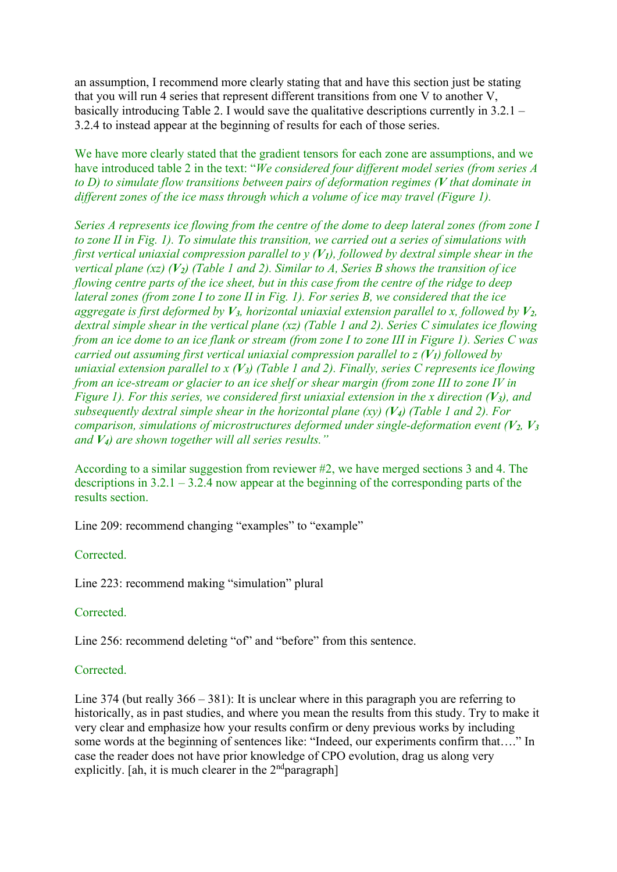an assumption, I recommend more clearly stating that and have this section just be stating that you will run 4 series that represent different transitions from one V to another V, basically introducing Table 2. I would save the qualitative descriptions currently in 3.2.1 – 3.2.4 to instead appear at the beginning of results for each of those series.

We have more clearly stated that the gradient tensors for each zone are assumptions, and we have introduced table 2 in the text: "*We considered four different model series (from series A to D) to simulate flow transitions between pairs of deformation regimes (V that dominate in different zones of the ice mass through which a volume of ice may travel (Figure 1).* 

*Series A represents ice flowing from the centre of the dome to deep lateral zones (from zone I to zone II in Fig. 1). To simulate this transition, we carried out a series of simulations with first vertical uniaxial compression parallel to y (V1), followed by dextral simple shear in the vertical plane (xz) (V2) (Table 1 and 2). Similar to A, Series B shows the transition of ice flowing centre parts of the ice sheet, but in this case from the centre of the ridge to deep lateral zones (from zone I to zone II in Fig. 1). For series B, we considered that the ice aggregate is first deformed by*  $V_3$ *, horizontal uniaxial extension parallel to x, followed by*  $V_2$ *, dextral simple shear in the vertical plane (xz) (Table 1 and 2). Series C simulates ice flowing from an ice dome to an ice flank or stream (from zone I to zone III in Figure 1). Series C was carried out assuming first vertical uniaxial compression parallel to z (V1) followed by uniaxial extension parallel to x (V3) (Table 1 and 2). Finally, series C represents ice flowing from an ice-stream or glacier to an ice shelf or shear margin (from zone III to zone IV in Figure 1). For this series, we considered first uniaxial extension in the x direction (V<sub>3</sub>), and subsequently dextral simple shear in the horizontal plane (xy) (V4) (Table 1 and 2). For comparison, simulations of microstructures deformed under single-deformation event (V2, V3 and V4) are shown together will all series results."*

According to a similar suggestion from reviewer #2, we have merged sections 3 and 4. The descriptions in 3.2.1 – 3.2.4 now appear at the beginning of the corresponding parts of the results section.

Line 209: recommend changing "examples" to "example"

Corrected.

Line 223: recommend making "simulation" plural

Corrected.

Line 256: recommend deleting "of" and "before" from this sentence.

## Corrected.

Line 374 (but really 366 – 381): It is unclear where in this paragraph you are referring to historically, as in past studies, and where you mean the results from this study. Try to make it very clear and emphasize how your results confirm or deny previous works by including some words at the beginning of sentences like: "Indeed, our experiments confirm that…." In case the reader does not have prior knowledge of CPO evolution, drag us along very explicitly. [ah, it is much clearer in the  $2<sup>nd</sup>$ paragraph]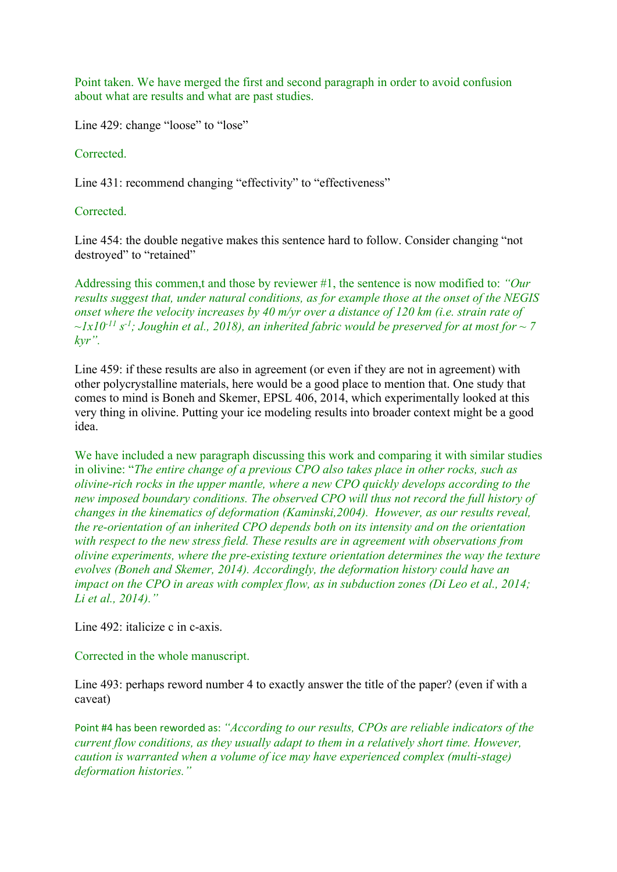Point taken. We have merged the first and second paragraph in order to avoid confusion about what are results and what are past studies.

Line 429: change "loose" to "lose"

Corrected.

Line 431: recommend changing "effectivity" to "effectiveness"

Corrected.

Line 454: the double negative makes this sentence hard to follow. Consider changing "not destroyed" to "retained"

Addressing this commen,t and those by reviewer #1, the sentence is now modified to: *"Our results suggest that, under natural conditions, as for example those at the onset of the NEGIS onset where the velocity increases by 40 m/yr over a distance of 120 km (i.e. strain rate of*   $\sim$ 1x10<sup>-11</sup> s<sup>-1</sup>; Joughin et al., 2018), an inherited fabric would be preserved for at most for  $\sim$  7 *kyr".*

Line 459: if these results are also in agreement (or even if they are not in agreement) with other polycrystalline materials, here would be a good place to mention that. One study that comes to mind is Boneh and Skemer, EPSL 406, 2014, which experimentally looked at this very thing in olivine. Putting your ice modeling results into broader context might be a good idea.

We have included a new paragraph discussing this work and comparing it with similar studies in olivine: "*The entire change of a previous CPO also takes place in other rocks, such as olivine-rich rocks in the upper mantle, where a new CPO quickly develops according to the new imposed boundary conditions. The observed CPO will thus not record the full history of changes in the kinematics of deformation (Kaminski,2004). However, as our results reveal, the re-orientation of an inherited CPO depends both on its intensity and on the orientation with respect to the new stress field. These results are in agreement with observations from olivine experiments, where the pre-existing texture orientation determines the way the texture evolves (Boneh and Skemer, 2014). Accordingly, the deformation history could have an impact on the CPO in areas with complex flow, as in subduction zones (Di Leo et al., 2014; Li et al., 2014)."*

Line 492: italicize c in c-axis.

Corrected in the whole manuscript.

Line 493: perhaps reword number 4 to exactly answer the title of the paper? (even if with a caveat)

Point #4 has been reworded as: *"According to our results, CPOs are reliable indicators of the current flow conditions, as they usually adapt to them in a relatively short time. However, caution is warranted when a volume of ice may have experienced complex (multi-stage) deformation histories."*